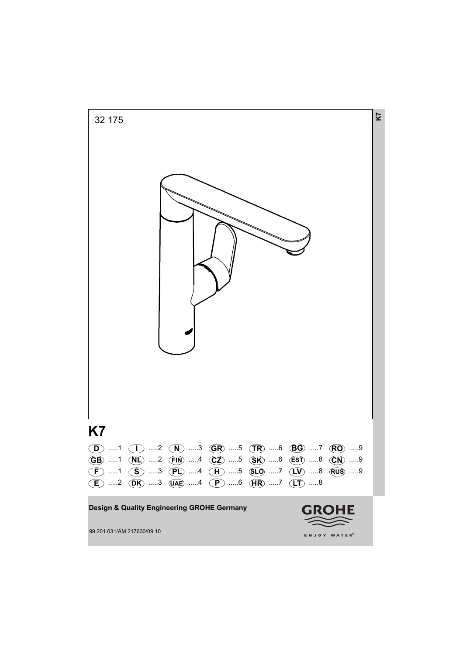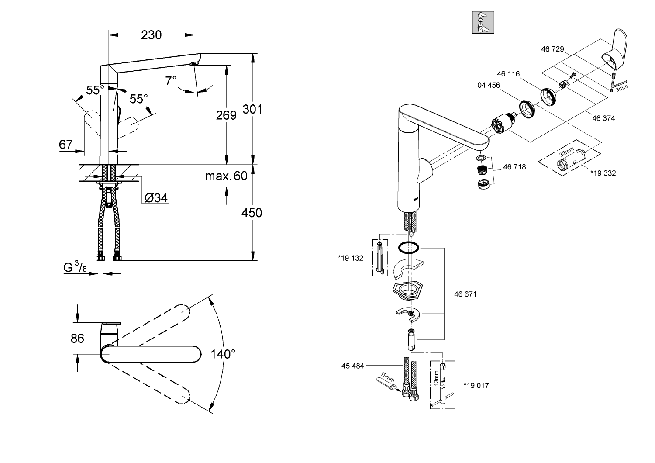

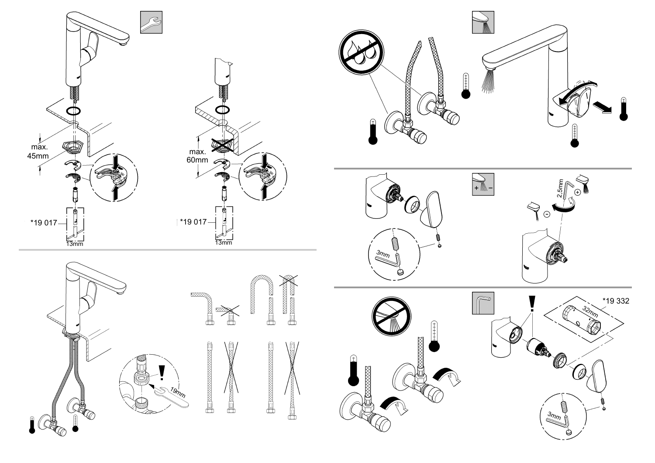





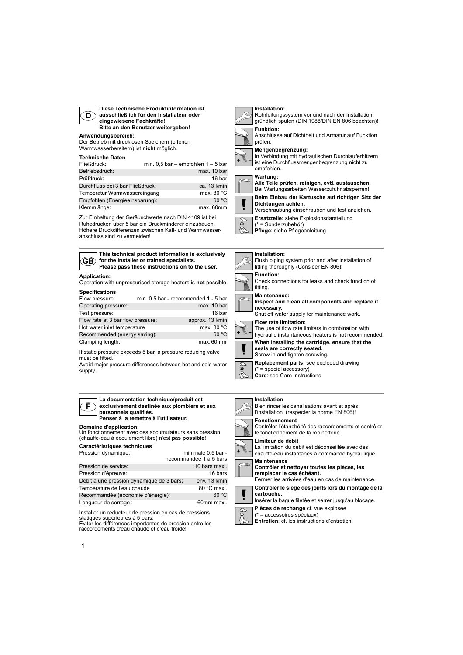

**Diese Technische Produktinformation ist ausschließlich für den Installateur oder eingewiesene Fachkräfte! Bitte an den Benutzer weitergeben!**

#### **Anwendungsbereich:**

Der Betrieb mit drucklosen Speichern (offenen Warmwasserbereitern) ist **nicht** möglich.

## **Technische Daten**

| Fließdruck:                      | min. $0.5$ bar - empfohlen $1 - 5$ bar |                      |
|----------------------------------|----------------------------------------|----------------------|
| Betriebsdruck:                   |                                        | max. 10 bar          |
| Prüfdruck:                       |                                        | 16 bar               |
| Durchfluss bei 3 bar Fließdruck: |                                        | ca. 13 l/min         |
| Temperatur Warmwassereingang     |                                        | max. 80 $^{\circ}$ C |
| Empfohlen (Energieeinsparung):   |                                        | 60 °C                |
| Klemmlänge:                      |                                        | max. 60mm            |

Zur Einhaltung der Geräuschwerte nach DIN 4109 ist bei Ruhedrücken über 5 bar ein Druckminderer einzubauen. Höhere Druckdifferenzen zwischen Kalt- und Warmwasseranschluss sind zu vermeiden!



**This technical product information is exclusively for the installer or trained specialists. Please pass these instructions on to the user.**

## **Application:**

Operation with unpressurised storage heaters is **not** possible. **Specifications**

| min. 0.5 bar - recommended 1 - 5 bar<br>Flow pressure: |                  |
|--------------------------------------------------------|------------------|
| Operating pressure:                                    | max. 10 bar      |
| Test pressure:                                         | 16 bar           |
| Flow rate at 3 bar flow pressure:                      | approx. 13 l/min |
| Hot water inlet temperature                            | max. 80 °C       |
| Recommended (energy saving):                           | 60 °C            |
| Clamping length:                                       | max.60mm         |

If static pressure exceeds 5 bar, a pressure reducing valve must be fitted.

Avoid major pressure differences between hot and cold water supply.

#### **F La documentation technique/produit est exclusivement destinée aux plombiers et aux personnels qualifiés. Penser à la remettre à l'utilisateur.**

#### **Domaine d'application:**

Un fonctionnement avec des accumulateurs sans pression (chauffe-eau à écoulement libre) n'est **pas possible**!

# **Caractéristiques techniques**

| Pression dynamique:                       | minimale 0,5 bar -     |
|-------------------------------------------|------------------------|
|                                           | recommandée 1 à 5 bars |
| Pression de service:                      | 10 bars maxi.          |
| Pression d'épreuve:                       | 16 bars                |
| Débit à une pression dynamique de 3 bars: | env. 13 l/min          |
| Température de l'eau chaude               | 80 °C maxi.            |
| Recommandée (économie d'énergie):         | 60 °C                  |
| Lonqueur de serrage :                     | 60mm maxi.             |

Installer un réducteur de pression en cas de pressions statiques supérieures à 5 bars. Eviter les différences importantes de pression entre les raccordements d'eau chaude et d'eau froide!

# **Installation:**





Anschlüsse auf Dichtheit und Armatur auf Funktion prüfen.



**Mengenbegrenzung:**

In Verbindung mit hydraulischen Durchlauferhitzern ist eine Durchflussmengenbegrenzung nicht zu empfehlen.

#### **Wartung:**





**Beim Einbau der Kartusche auf richtigen Sitz der Dichtungen achten.** Verschraubung einschrauben und fest anziehen.

**Ersatzteile:** siehe Explosionsdarstellung

(\* = Sonderzubehör)

**Pflege**: siehe Pflegeanleitung

# **Installation:**



 $=$  special accessory) **Care**: see Care Instructions

#### **Installation**





(\* = accessoires spéciaux) **Entretien**: cf. les instructions d'entretien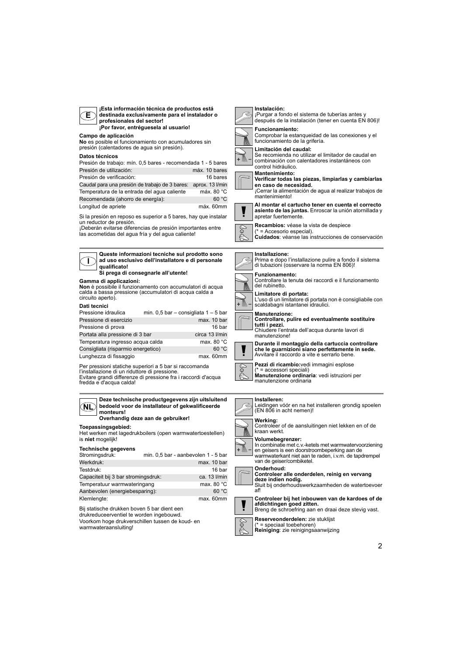| ¡Esta información técnica de productos está<br>destinada exclusivamente para el instalador o<br>Е<br>profesionales del sector!<br>¡Por favor, entréguesela al usuario!                                                                                                                                                                                                                                                                                                                                                                                                                                                                             | Instalación:<br>¡Purgar a fondo el sistema de tuberías antes y<br>después de la instalación (tener en cuenta EN 806)!<br><b>Funcionamiento:</b>                                                                                                                                                                                                                                                                                                                                                                                                                                                                |
|----------------------------------------------------------------------------------------------------------------------------------------------------------------------------------------------------------------------------------------------------------------------------------------------------------------------------------------------------------------------------------------------------------------------------------------------------------------------------------------------------------------------------------------------------------------------------------------------------------------------------------------------------|----------------------------------------------------------------------------------------------------------------------------------------------------------------------------------------------------------------------------------------------------------------------------------------------------------------------------------------------------------------------------------------------------------------------------------------------------------------------------------------------------------------------------------------------------------------------------------------------------------------|
| Campo de aplicación<br>No es posible el funcionamiento con acumuladores sin                                                                                                                                                                                                                                                                                                                                                                                                                                                                                                                                                                        | Comprobar la estangueidad de las conexiones y el<br>funcionamiento de la grifería.                                                                                                                                                                                                                                                                                                                                                                                                                                                                                                                             |
| presión (calentadores de agua sin presión).<br>Datos técnicos<br>Presión de trabajo: mín. 0,5 bares - recomendada 1 - 5 bares<br>Presión de utilización:<br>máx. 10 bares<br>Presión de verificación:<br>16 bares<br>Caudal para una presión de trabajo de 3 bares: aprox. 13 l/min<br>Temperatura de la entrada del agua caliente<br>máx. 80 °C<br>Recomendada (ahorro de energía):<br>60 °C<br>Longitud de apriete<br>máx. 60mm<br>Si la presión en reposo es superior a 5 bares, hay que instalar<br>un reductor de presión.<br>¡Deberán evitarse diferencias de presión importantes entre<br>las acometidas del aqua fría y del aqua caliente! | Limitación del caudal:<br>Se recomienda no utilizar el limitador de caudal en<br>combinación con calentadores instantáneos con<br>control hidráulico.<br><b>Mantenimiento:</b><br>Verificar todas las piezas, limpiarlas y cambiarlas<br>en caso de necesidad.<br>¡Cerrar la alimentación de agua al realizar trabajos de<br>mantenimiento!<br>Al montar el cartucho tener en cuenta el correcto<br>asiento de las juntas. Enroscar la unión atornillada y<br>apretar fuertemente.<br>Recambios: véase la vista de despiece<br>(* = Accesorio especial).<br>Cuidados: véanse las instrucciones de conservación |
|                                                                                                                                                                                                                                                                                                                                                                                                                                                                                                                                                                                                                                                    |                                                                                                                                                                                                                                                                                                                                                                                                                                                                                                                                                                                                                |
| Queste informazioni tecniche sul prodotto sono<br>ad uso esclusivo dell'installatore e di personale<br>qualificato!                                                                                                                                                                                                                                                                                                                                                                                                                                                                                                                                | Installazione:<br>Prima e dopo l'installazione pulire a fondo il sistema<br>di tubazioni (osservare la norma EN 806)!                                                                                                                                                                                                                                                                                                                                                                                                                                                                                          |
| Si prega di consegnarle all'utente!<br>Gamma di applicazioni:<br>Non è possibile il funzionamento con accumulatori di acqua<br>calda a bassa pressione (accumulatori di acqua calda a<br>circuito aperto).                                                                                                                                                                                                                                                                                                                                                                                                                                         | <b>Funzionamento:</b><br>Controllare la tenuta dei raccordi e il funzionamento<br>del rubinetto.<br>Limitatore di portata:<br>L'uso di un limitatore di portata non è consigliabile con                                                                                                                                                                                                                                                                                                                                                                                                                        |
| Dati tecnici                                                                                                                                                                                                                                                                                                                                                                                                                                                                                                                                                                                                                                       | scaldabagni istantanei idraulici.                                                                                                                                                                                                                                                                                                                                                                                                                                                                                                                                                                              |
| min. 0,5 bar - consigliata $1 - 5$ bar<br>Pressione idraulica                                                                                                                                                                                                                                                                                                                                                                                                                                                                                                                                                                                      | <b>Manutenzione:</b>                                                                                                                                                                                                                                                                                                                                                                                                                                                                                                                                                                                           |
| Pressione di esercizio<br>max. 10 bar                                                                                                                                                                                                                                                                                                                                                                                                                                                                                                                                                                                                              | Controllare, pulire ed eventualmente sostituire<br>tutti i pezzi.                                                                                                                                                                                                                                                                                                                                                                                                                                                                                                                                              |
| Pressione di prova<br>16 bar<br>Portata alla pressione di 3 bar<br>circa 13 I/min                                                                                                                                                                                                                                                                                                                                                                                                                                                                                                                                                                  | Chiudere l'entrata dell'acqua durante lavori di                                                                                                                                                                                                                                                                                                                                                                                                                                                                                                                                                                |
| Temperatura ingresso acqua calda<br>max. 80 °C                                                                                                                                                                                                                                                                                                                                                                                                                                                                                                                                                                                                     | manutenzione!                                                                                                                                                                                                                                                                                                                                                                                                                                                                                                                                                                                                  |
| 60 °C<br>Consigliata (risparmio energetico)                                                                                                                                                                                                                                                                                                                                                                                                                                                                                                                                                                                                        | Durante il montaggio della cartuccia controllare<br>che le guarnizioni siano perfettamente in sede.                                                                                                                                                                                                                                                                                                                                                                                                                                                                                                            |
| max. 60mm<br>Lunghezza di fissaggio                                                                                                                                                                                                                                                                                                                                                                                                                                                                                                                                                                                                                | Avvitare il raccordo a vite e serrarlo bene.                                                                                                                                                                                                                                                                                                                                                                                                                                                                                                                                                                   |
| Per pressioni statiche superiori a 5 bar si raccomanda<br>l'installazione di un riduttore di pressione.<br>Evitare grandi differenze di pressione fra i raccordi d'acqua<br>fredda e d'acqua calda!                                                                                                                                                                                                                                                                                                                                                                                                                                                | Pezzi di ricambio: vedi immagini esplose<br>(* = accessori speciali)<br>Manutenzione ordinaria: vedi istruzioni per<br>manutenzione ordinaria                                                                                                                                                                                                                                                                                                                                                                                                                                                                  |
| Deze technische productgegevens zijn uitsluitend<br>bedoeld voor de installateur of gekwalificeerde<br>NL<br>monteurs!<br>Overhandig deze aan de gebruiker!                                                                                                                                                                                                                                                                                                                                                                                                                                                                                        | Installeren:<br>Leidingen vóór en na het installeren grondig spoelen<br>(EN 806 in acht nemen)!                                                                                                                                                                                                                                                                                                                                                                                                                                                                                                                |
| Toepassingsgebied:<br>Het werken met lagedrukboilers (open warmwatertoestellen)                                                                                                                                                                                                                                                                                                                                                                                                                                                                                                                                                                    | Werking:<br>Controleer of de aansluitingen niet lekken en of de<br>kraan werkt.                                                                                                                                                                                                                                                                                                                                                                                                                                                                                                                                |
| is niet mogelijk!<br><b>Technische gegevens</b><br>Stromingsdruk:<br>min. 0,5 bar - aanbevolen 1 - 5 bar<br>Werkdruk:<br>max. 10 bar                                                                                                                                                                                                                                                                                                                                                                                                                                                                                                               | Volumebegrenzer:<br>In combinatie met c.v.-ketels met warmwatervoorziening<br>en geisers is een doorstroombeperking aan de<br>warmwaterkant niet aan te raden, i.v.m. de tapdrempel<br>van de geiser/combiketel.                                                                                                                                                                                                                                                                                                                                                                                               |
| Testdruk:<br>16 bar                                                                                                                                                                                                                                                                                                                                                                                                                                                                                                                                                                                                                                | Onderhoud:                                                                                                                                                                                                                                                                                                                                                                                                                                                                                                                                                                                                     |
| Capaciteit bij 3 bar stromingsdruk:<br>ca. 13 l/min                                                                                                                                                                                                                                                                                                                                                                                                                                                                                                                                                                                                | Controleer alle onderdelen, reinig en vervang<br>deze indien nodig.                                                                                                                                                                                                                                                                                                                                                                                                                                                                                                                                            |
|                                                                                                                                                                                                                                                                                                                                                                                                                                                                                                                                                                                                                                                    |                                                                                                                                                                                                                                                                                                                                                                                                                                                                                                                                                                                                                |

 $\blacksquare$ **deze indien nodig.** Sluit bij onderhoudswerkzaamheden de watertoevoer af!

**Controleer bij het inbouwen van de kardoes of de afdichtingen goed zitten.** Breng de schroefring aan en draai deze stevig vast.



max. 60mm

Bij statische drukken boven 5 bar dient een drukreduceerventiel te worden ingebouwd. Voorkom hoge drukverschillen tussen de koud- en

Aanbevolen (energiebesparing):<br>Klemlengte:

Temperatuur warmwateringang max. 80 °C<br>Aanbevolen (energiebesparing): 60 °C

warmwateraansluiting!

**Reserveonderdelen:** zie stuklijst (\* = speciaal toebehoren) **Reiniging**: zie reinigingsaanwijzing

2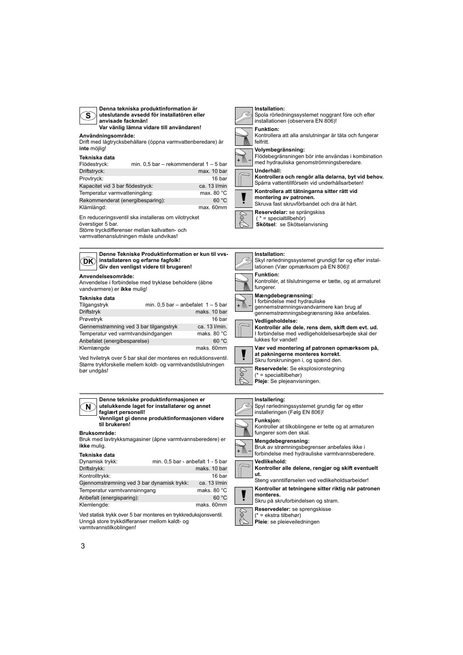| Denna tekniska produktinformation är<br>uteslutande avsedd för installatören eller<br>S)<br>anvisade fackmän!<br>Var vänlig lämna vidare till användaren!<br>Användningsområde:<br>Drift med lågtrycksbehållare (öppna varmvattenberedare) är<br>inte möjlig!<br>Tekniska data<br>min. $0,5$ bar – rekommenderat $1 - 5$ bar<br>Flödestryck:<br>Driftstryck:<br>max. 10 bar<br>Provtryck:<br>16 bar<br>Kapacitet vid 3 bar flödestryck:<br>ca. 13 l/min<br>Temperatur varmvatteningång:<br>max. 80 °C<br>Rekommenderat (energibesparing):<br>60 °C<br>max. 60mm<br>Klämlängd:<br>En reduceringsventil ska installeras om vilotrycket<br>överstiger 5 bar.<br>Större tryckdifferenser mellan kallvatten- och<br>varmvattenanslutningen måste undvikas! | Installation:<br>Spola rörledningssystemet noggrant före och efter<br>installationen (observera EN 806)!<br><b>Funktion:</b><br>Kontrollera att alla anslutningar är täta och fungerar<br>felfritt.<br>Volymbegränsning:<br>Flödebegränsningen bör inte användas i kombination<br>med hydrauliska genomströmningsberedare.<br>Underhåll:<br>Kontrollera och rengör alla delarna, byt vid behov.<br>Spärra vattentillförseln vid underhållsarbeten!<br>Kontrollera att tätningarna sitter rätt vid<br>montering av patronen.<br>Skruva fast skruvförbandet och dra åt hårt.<br>Reservdelar: se sprängskiss<br>S<br>$(* = specialtilbeh)$<br>Skötsel: se Skötselanvisning |
|-------------------------------------------------------------------------------------------------------------------------------------------------------------------------------------------------------------------------------------------------------------------------------------------------------------------------------------------------------------------------------------------------------------------------------------------------------------------------------------------------------------------------------------------------------------------------------------------------------------------------------------------------------------------------------------------------------------------------------------------------------|-------------------------------------------------------------------------------------------------------------------------------------------------------------------------------------------------------------------------------------------------------------------------------------------------------------------------------------------------------------------------------------------------------------------------------------------------------------------------------------------------------------------------------------------------------------------------------------------------------------------------------------------------------------------------|
| Denne Tekniske Produktinformation er kun til vvs-<br>installatøren og erfarne fagfolk!<br>DK.<br>Giv den venligst videre til brugeren!                                                                                                                                                                                                                                                                                                                                                                                                                                                                                                                                                                                                                | Installation:<br>Skyl rørledningssystemet grundigt før og efter instal-<br>lationen (Vær opmærksom på EN 806)!                                                                                                                                                                                                                                                                                                                                                                                                                                                                                                                                                          |
| Anvendelsesområde:<br>Anvendelse i forbindelse med trykløse beholdere (åbne<br>vandvarmere) er ikke mulig!                                                                                                                                                                                                                                                                                                                                                                                                                                                                                                                                                                                                                                            | <b>Funktion:</b><br>Kontrollér, at tilslutningerne er tætte, og at armaturet<br>fungerer.                                                                                                                                                                                                                                                                                                                                                                                                                                                                                                                                                                               |
| Tekniske data<br>min. $0.5$ bar - anbefalet $1 - 5$ bar<br>Tilgangstryk<br>Driftstryk<br>maks. 10 bar<br>Prøvetryk<br>16 bar<br>Gennemstrømning ved 3 bar tilgangstryk<br>ca. 13 l/min.<br>Temperatur ved varmtvandsindgangen<br>maks. 80 °C                                                                                                                                                                                                                                                                                                                                                                                                                                                                                                          | Mængdebegrænsning:<br>I forbindelse med hydrauliske<br>gennemstrømningsvandvarmere kan brug af<br>gennemstrømningsbegrænsning ikke anbefales.<br>Vedligeholdelse:<br>Kontrollér alle dele, rens dem, skift dem evt. ud.<br>I forbindelse med vedligeholdelsesarbejde skal der<br>lukkes for vandet!                                                                                                                                                                                                                                                                                                                                                                     |
| Anbefalet (energibesparelse)<br>60 °C<br>maks. 60mm<br>Klemlængde<br>Ved hviletryk over 5 bar skal der monteres en reduktionsventil.<br>Større trykforskelle mellem koldt- og varmtvandstilslutningen<br>bør undgås!                                                                                                                                                                                                                                                                                                                                                                                                                                                                                                                                  | Vær ved montering af patronen opmærksom på,<br>at pakningerne monteres korrekt.<br>Skru forskruningen i, og spænd den.<br>Reservedele: Se eksplosionstegning<br>$(* = specialtilbehor)$<br>Pleje: Se plejeanvisningen.                                                                                                                                                                                                                                                                                                                                                                                                                                                  |
| Denne tekniske produktinformasjonen er<br>utelukkende laget for installatører og annet<br>N.<br>faglært personell!<br>Vennligst gi denne produktinformasjonen videre<br>til brukeren!                                                                                                                                                                                                                                                                                                                                                                                                                                                                                                                                                                 | Installering:<br>Spyl rørledningssystemet grundig før og etter<br>installeringen (Følg EN 806)!<br><b>Funksjon:</b><br>Kontroller at tilkoblingene er tette og at armaturen                                                                                                                                                                                                                                                                                                                                                                                                                                                                                             |
| <b>Bruksområde:</b><br>Bruk med lavtrykksmagasiner (åpne varmtvannsberedere) er<br>ikke mulig.<br>Tekniske data                                                                                                                                                                                                                                                                                                                                                                                                                                                                                                                                                                                                                                       | fungerer som den skal.<br>Mengdebegrensning:<br>Bruk av strømningsbegrenser anbefales ikke i<br>forbindelse med hydrauliske varmtvannsberedere.                                                                                                                                                                                                                                                                                                                                                                                                                                                                                                                         |
| Dynamisk trykk:<br>min. 0,5 bar - anbefalt 1 - 5 bar<br>Driftstrykk:<br>maks. 10 bar<br>Kontrolltrykk:<br>16 bar<br>Gjennomstrømning ved 3 bar dynamisk trykk:<br>ca. 13 l/min                                                                                                                                                                                                                                                                                                                                                                                                                                                                                                                                                                        | Vedlikehold:<br>Kontroller alle delene, rengjør og skift eventuelt<br>ut.<br>Steng vanntilførselen ved vedlikeholdsarbeider!                                                                                                                                                                                                                                                                                                                                                                                                                                                                                                                                            |
| Temperatur varmtvannsinngang<br>maks. 80 °C<br>Anbefalt (energisparing):<br>60 °C<br>Klemlengde:<br>maks. 60mm                                                                                                                                                                                                                                                                                                                                                                                                                                                                                                                                                                                                                                        | Kontroller at tetningene sitter riktig når patronen<br>monteres.<br>Skru på skruforbindelsen og stram.<br>Reservedeler: se sprengskisse                                                                                                                                                                                                                                                                                                                                                                                                                                                                                                                                 |
| Ved statisk trykk over 5 bar monteres en trykkreduksjonsventil.<br>Unngå store trykkdifferanser mellom kaldt- og<br>varmtvannstilkoblingen!                                                                                                                                                                                                                                                                                                                                                                                                                                                                                                                                                                                                           | $(* = ekstra tilbehør)$<br>Pleie: se pleieveiledningen                                                                                                                                                                                                                                                                                                                                                                                                                                                                                                                                                                                                                  |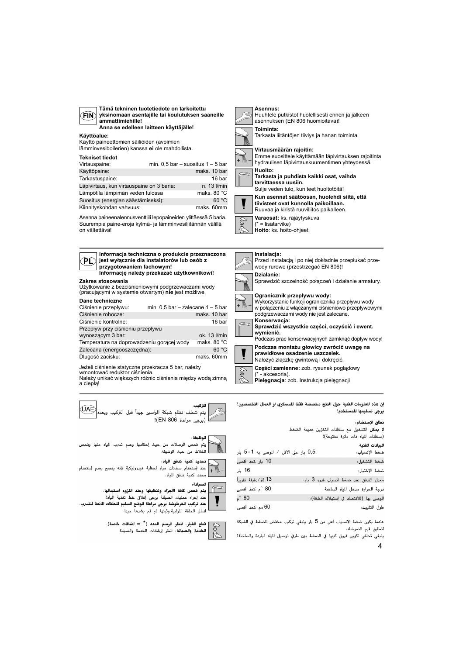| v |
|---|
|---|

**Tämä tekninen tuotetiedote on tarkoitettu yksinomaan asentajille tai koulutuksen saaneille ammattimiehille! Anna se edelleen laitteen käyttäjälle!**

## **Käyttöalue:**

Käyttö paineettomien säiliöiden (avoimien lämminvesiboilerien) kanssa **ei** ole mahdollista.

#### **Tekniset tiedot**

**Zakres stosowania**

**PL**

**Dane techniczne**

Przepływ przy ciśnieniu przepływu

a ciepłą!

**UAE** 

| TERIIISEL LIEUVL                          |                                       |
|-------------------------------------------|---------------------------------------|
| Virtauspaine:                             | min. $0.5$ bar - suositus $1 - 5$ bar |
| Käyttöpaine:                              | maks, 10 bar                          |
| Tarkastuspaine:                           | 16 bar                                |
| Läpivirtaus, kun virtauspaine on 3 baria: | n. 13 l/min                           |
| Lämpötila lämpimän veden tulossa          | maks. 80 °C                           |
| Suositus (energian säästämiseksi):        | 60 °C                                 |
| Kiinnityskohdan vahvuus:                  | maks. 60mm                            |

Asenna paineenalennusventtiili lepopaineiden ylittäessä 5 baria. Suurempia paine-eroja kylmä- ja lämminvesiliitännän välillä on vältettävä!

> **Informacja techniczna o produkcie przeznaczona jest wyłącznie dla instalatorów lub osób z**

**Informację należy przekazać użytkownikowi!**

Ciśnienie przepływu: min. 0,5 bar – zalecane 1 – 5 bar Ciśnienie robocze: maks. 10 bar Ciśnienie kontrolne: 16 bar

wynoszącym 3 bar: ok. 13 l/min Temperatura na doprowadzeniu gorącej wody maks. 80 °C Zalecana (energooszczedna): 60 °C Długość zacisku: maks. 60mm

Użytkowanie z bezciśnieniowymi podgrzewaczami wody (pracującymi w systemie otwartym) **nie** jest możliwe.

**przygotowaniem fachowym!**

Jeżeli ciśnienie statyczne przekracza 5 bar, należy

wmontować reduktor ciśnienia. Należy unikać większych różnic ciśnienia między wodą zimną

.<br>يتم شطف نظام شبكة الواسير جيداً قبل التركيب وبعد

**Asennus:** Huuhtele putkistot huolellisesti ennen ja jälkeen asennuksen (EN 806 huomioitava)! **Toiminta:** Tarkasta liitäntöjen tiiviys ja hanan toiminta. + M

#### **Virtausmäärän rajoitin:**

Emme suosittele käyttämään läpivirtauksen rajoitinta hydraulisen läpivirtauskuumentimen yhteydessä.

**Huolto: Tarkasta ja puhdista kaikki osat, vaihda** 

**tarvittaessa uusiin.** Sulje veden tulo, kun teet huoltotöitä!



Ruuvaa ja kiristä ruuviliitos paikalleen.

**Varaosat:** ks. räjäytyskuva (\* = lisätarvike)

**Hoito**: ks. hoito-ohjeet

# **Instalacja:**



**Pielęgnacja**: zob. Instrukcja pielęgnacji

إن هذه العلومات الفنية حول النتج مخصصة فقط للسمكري أو العمال التخصصين! يرجى تسليمها للمستخدم!

#### نطاق الاستخدام:

لا يمكن التشغيل مع سخانات التخزين عديمة الضغط (سخانات المياه ذات دائرة مفتوحة)! البيانات الفنية 0,5 بار على الأقل / الموصى به 1-5 بار ضغط الإنسياب: 10 بار کحد اقصی ضغط التشغيل: 16 بار ضغط الإختىار : 13 لتر⁄دقيقة تقريباً معدل التدفق عند ضغط إنسياب قدره 3 بار: 80 °م کند اقصی درجة الحرارة مدخل المياه الساخنة  $^{\circ}$  60 الموصى بها (للاقتصاد في إستهلاك الطلقة): 60 مم کند أقصى طول التثبيت:

عندما يكون ضغط الإنسياب أعلى من 5 بار ينبغي تركيب مخفض للضغط في الشبكة لتطابق قيم الضوضاء.

4

الوظيفة : يتم فحص الوصلات من حيث إحكامها وعدم تسرب المياه منها وفحص ] الخلاط من حيث الوظيفة.

التركيب.

ءًا (يرجى مراعاة EN 806)!



عند استخدام سخانات مياه لحظية هيدروليكية فإنه ينصح بعدم إستخدام  $+$  MM محدد كمية تدفق للياه.



يتم فحص كافة الأجزاء وتنظيفها وعند اللزوم استبدالها. عند إجراء عمليات الصيانة يرجى إغلاق خط تغذية المياه!

عند تركيب الخرطوشة يرجى مراعاة الوضع السليم للحلقات المانعة للتسرب. .<br>دخل الحلقة اللولبية وثبتها ثم قم بشدها جيدا.



تطع الغيار: أنظر الرسم المدد (\* = إضافات خاصة). الخدمة والصيانة، أنظر إرشادات الخدمة والصيانة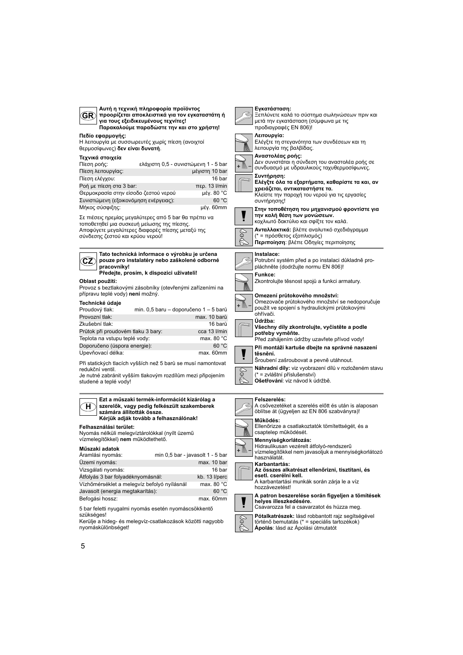| Αυτή η τεχνική πληροφορία προϊόντος<br>GR)<br>προορίζεται αποκλειστικά για τον εγκαταστάτη ή<br>για τους εξειδικευμένους τεχνίτες!<br>Παρακαλούμε παραδώστε την και στο χρήστη!                                                                                                                                                                                                                                                                                                                                                   | Εγκατάσταση:<br>Ξεπλύνετε καλά το σύστημα σωληνώσεων πριν και<br>μετά την εγκατάσταση (σύμφωνα με τις<br>προδιαγραφές ΕΝ 806)!                                                                                                                                                                                                                                                                                                                                                                                                         |
|-----------------------------------------------------------------------------------------------------------------------------------------------------------------------------------------------------------------------------------------------------------------------------------------------------------------------------------------------------------------------------------------------------------------------------------------------------------------------------------------------------------------------------------|----------------------------------------------------------------------------------------------------------------------------------------------------------------------------------------------------------------------------------------------------------------------------------------------------------------------------------------------------------------------------------------------------------------------------------------------------------------------------------------------------------------------------------------|
| Πεδίο εφαρμογής:<br>Η λειτουργία με συσσωρευτές χωρίς πίεση (ανοιχτοί<br>θερμοσίφωνες) δεν είναι δυνατή.                                                                                                                                                                                                                                                                                                                                                                                                                          | Λειτουργία:<br>Ελέγξτε τη στεγανότητα των συνδέσεων και τη<br>λειτουργία της βαλβίδας.                                                                                                                                                                                                                                                                                                                                                                                                                                                 |
| Τεχνικά στοιχεία<br>ελάχιστη 0,5 - συνιστώμενη 1 - 5 bar<br>Πίεση ροής:<br>Πίεση λειτουργίας:<br>μέγιστη 10 bar<br>Πίεση ελέγχου:<br>16 bar<br>Poή με πίεση στα 3 bar:<br>$περ. 13$ I/min<br>Θερμοκρασία στην είσοδο ζεστού νερού<br>μέν. 80 °C<br>60 °C<br>Συνιστώμενη (εξοικονόμηση ενέργειας):<br>Μήκος σύσφιξης:<br>μέγ. 60mm<br>Σε πιέσεις ηρεμίας μεγαλύτερες από 5 bar θα πρέπει να<br>τοποθετηθεί μια συσκευή μείωσης της πίεσης.<br>Αποφύγετε μεγαλύτερες διαφορές πίεσης μεταξύ της<br>σύνδεσης ζεστού και κρύου νερού! | Αναστολέας ροής:<br>Δεν συνιστάται η σύνδεση του αναστολέα ροής σε<br>συνδυασμό με υδραυλικούς ταχυθερμοσίφωνες.<br>Συντήρηση:<br>Ελέγξτε όλα τα εξαρτήματα, καθαρίστε τα και, αν<br>χρειάζεται, αντικαταστήστε τα.<br>Κλείστε την παροχή του νερού για τις εργασίες<br>συντήρησης!<br>Στην τοποθέτηση του μηχανισμού φροντίστε για<br>την καλή θέση των μονώσεων.<br>κοχλιωτό δακτύλιο και σφίξτε τον καλά.<br>Ανταλλακτικά: βλέπε αναλυτικό σχεδιάγραμμα<br>E<br>(* = πρόσθετος εξοπλισμός)<br>Περιποίηση: βλέπε Οδηγίες περιποίησης |
| Tato technická informace o výrobku je určena<br>CZ)<br>pouze pro instalatéry nebo zaškolené odborné<br>pracovníky!<br>Předejte, prosím, k dispozici uživateli!                                                                                                                                                                                                                                                                                                                                                                    | Instalace:<br>Potrubní systém před a po instalaci důkladně pro-<br>pláchněte (dodržujte normu EN 806)!<br>Funkce:                                                                                                                                                                                                                                                                                                                                                                                                                      |
| Oblast použití:<br>Provoz s beztlakovými zásobníky (otevřenými zařízeními na                                                                                                                                                                                                                                                                                                                                                                                                                                                      | Zkontrolujte těsnost spojů a funkci armatury.                                                                                                                                                                                                                                                                                                                                                                                                                                                                                          |
| přípravu teplé vody) není možný.<br>Technické údaje<br>min. 0,5 baru - doporučeno 1 - 5 barů<br>Proudový tlak:<br>Provozní tlak:<br>max. 10 barů<br>16 barů<br>Zkušební tlak:<br>Průtok při proudovém tlaku 3 bary:<br>cca 13 l/min                                                                                                                                                                                                                                                                                               | Omezení průtokového množství:<br>Omezovače průtokového množství se nedoporučuje<br>použít ve spojení s hydraulickými průtokovými<br>ohřívači.<br>Údržba:<br>Všechny díly zkontrolujte, vyčistěte a podle<br>potřeby vyměňte.                                                                                                                                                                                                                                                                                                           |
| max. 80 °C<br>Teplota na vstupu teplé vody:<br>60 °C<br>Doporučeno (úspora energie):                                                                                                                                                                                                                                                                                                                                                                                                                                              | Před zahájením údržby uzavřete přívod vody!<br>Při montáži kartuše dbejte na správné nasazení                                                                                                                                                                                                                                                                                                                                                                                                                                          |
| Upevňovací délka:<br>max. 60mm<br>Při statických tlacích vyšších než 5 barů se musí namontovat<br>redukční ventil.<br>Je nutné zabránit vyšším tlakovým rozdílům mezi připojením<br>studené a teplé vody!                                                                                                                                                                                                                                                                                                                         | těsnění.<br>Šroubení zašroubovat a pevně utáhnout.<br>Náhradní díly: viz vyobrazení dílů v rozloženém stavu<br>(* = zvláštní příslušenství)<br><b>Ošetřování</b> : viz návod k údržbě.                                                                                                                                                                                                                                                                                                                                                 |
| Ezt a műszaki termék-információt kizárólag a<br>н<br>szerelők, vagy pedig felkészült szakemberek<br>számára állították össze.<br>Kérjük adják tovább a felhasználónak!                                                                                                                                                                                                                                                                                                                                                            | Felszerelés:<br>A csővezetéket a szerelés előtt és után is alaposan<br>öblítse át (ügyeljen az EN 806 szabványra)!<br>Működés:                                                                                                                                                                                                                                                                                                                                                                                                         |
| Felhasználási terület:<br>Nyomás nélküli melegvíztárolókkal (nyílt üzemű<br>vízmelegítőkkel) nem működtethető.<br>Műszaki adatok                                                                                                                                                                                                                                                                                                                                                                                                  | Ellenőrizze a csatlakoztatók tömítettségét, és a<br>csaptelep működését.<br>Mennyiségkorlátozás:<br>Hidraulikusan vezérelt átfolyó-rendszerű                                                                                                                                                                                                                                                                                                                                                                                           |
| Aramlási nyomás:<br>min 0,5 bar - javasolt 1 - 5 bar                                                                                                                                                                                                                                                                                                                                                                                                                                                                              | + M<br>vízmelegítőkkel nem javasoljuk a mennyiségkorlátozó<br>használatát.                                                                                                                                                                                                                                                                                                                                                                                                                                                             |
| Üzemi nyomás:<br>max. 10 bar<br>Vizsgálati nyomás:<br>16 bar<br>Átfolyás 3 bar folyadéknyomásnál:<br>kb. 13 l/perc                                                                                                                                                                                                                                                                                                                                                                                                                | Karbantartás:<br>Az összes alkatrészt ellenőrizni, tisztítani, és<br>esetl. cserélni kell.                                                                                                                                                                                                                                                                                                                                                                                                                                             |
| Vízhőmérséklet a melegvíz befolyó nyílásnál<br>max. 80 $^{\circ}$ C                                                                                                                                                                                                                                                                                                                                                                                                                                                               | A karbantartási munkák során zárja le a víz<br>hozzávezetést!                                                                                                                                                                                                                                                                                                                                                                                                                                                                          |
| Javasolt (energia megtakarítás):<br>60 °C                                                                                                                                                                                                                                                                                                                                                                                                                                                                                         | A patron beszerelése során figyeljen a tömítések                                                                                                                                                                                                                                                                                                                                                                                                                                                                                       |
| Befogási hossz:<br>max. 60mm                                                                                                                                                                                                                                                                                                                                                                                                                                                                                                      | helyes illeszkedésére.                                                                                                                                                                                                                                                                                                                                                                                                                                                                                                                 |
| 5 bar feletti nyugalmi nyomás esetén nyomáscsökkentő<br>szükséges!<br>Kerülje a hideg- és melegvíz-csatlakozások közötti nagyobb<br>nyomáskülönbséget!                                                                                                                                                                                                                                                                                                                                                                            | Csavarozza fel a csavarzatot és húzza meg.<br>Pótalkatrészek: lásd robbantott rajz segítségével<br>történő bemutatás (* = speciális tartozékok)<br>Apolás: lásd az Ápolási útmutatót                                                                                                                                                                                                                                                                                                                                                   |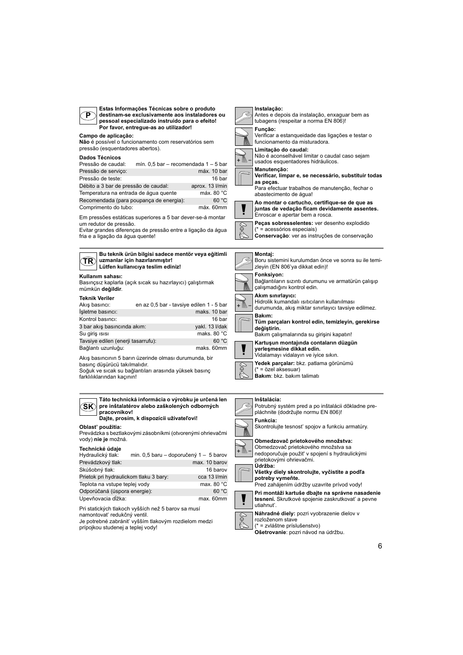

**Estas Informações Técnicas sobre o produto destinam-se exclusivamente aos instaladores ou pessoal especializado instruido para o efeito! Por favor, entregue-as ao utilizador!**

# **Campo de aplicação:**

**Não** é possível o funcionamento com reservatórios sem pressão (esquentadores abertos).

#### **Dados Técnicos**

| pagos recineva                          |                                      |                 |
|-----------------------------------------|--------------------------------------|-----------------|
| Pressão de caudal:                      | mín. 0,5 bar - recomendada 1 - 5 bar |                 |
| Pressão de serviço:                     |                                      | máx. 10 bar     |
| Pressão de teste:                       |                                      | 16 bar          |
| Débito a 3 bar de pressão de caudal:    |                                      | aprox. 13 l/min |
| Temperatura na entrada de água quente   |                                      | máx. 80 °C      |
| Recomendada (para poupança de energia): |                                      | 60 °C           |
| Comprimento do tubo:                    |                                      | máx. 60mm       |

Em pressões estáticas superiores a 5 bar dever-se-á montar um redutor de pressão.

Evitar grandes diferenças de pressão entre a ligação da água fria e a ligação da água quente!



# **Kullanım sahası:**

Basınçsız kaplarla (açık sıcak su hazırlayıcı) çalıştırmak mümkün **değildir**.

#### **Teknik Veriler**

| Akıs basıncı:                      | en az 0,5 bar - tavsiye edilen 1 - 5 bar |                       |
|------------------------------------|------------------------------------------|-----------------------|
| İşletme basıncı:                   |                                          | maks, 10 bar          |
| Kontrol basıncı:                   |                                          | 16 bar                |
| 3 bar akış basıncında akım:        |                                          | yakl. 13 I/dak        |
| Su giriş ısısı                     |                                          | maks, 80 $^{\circ}$ C |
| Tavsiye edilen (enerji tasarrufu): |                                          | 60 °C                 |
| Bağlantı uzunluğu:                 |                                          | maks. 60mm            |

Akış basıncının 5 barın üzerinde olması durumunda, bir basınç düşürücü takılmalıdır. Soğuk ve sıcak su bağlantıları arasında yüksek basınç

farklılıklarından kaçının!

| Táto technická informácia o výrobku je určená len<br>pre inštalatérov alebo zaškolených odborných<br>SK<br>pracovníkov!<br>Dajte, prosím, k dispozícii užívateľovi! |  |                                        |
|---------------------------------------------------------------------------------------------------------------------------------------------------------------------|--|----------------------------------------|
| Oblasť použitia:<br>Prevádzka s beztlakovými zásobníkmi (otvorenými ohrievačmi<br>vody) nie je možná.                                                               |  |                                        |
| Technické údaje<br>Hydraulický tlak:                                                                                                                                |  | min. 0,5 baru – doporučený 1 – 5 barov |
| Prevádzkový tlak:                                                                                                                                                   |  | max. 10 barov                          |
| Skúšobný tlak:                                                                                                                                                      |  | 16 barov                               |
| Prietok pri hydraulickom tlaku 3 bary:<br>cca 13 l/min                                                                                                              |  |                                        |
| Teplota na vstupe teplej vody<br>max. 80 °C                                                                                                                         |  |                                        |
| Odporúčaná (úspora energie):<br>60 °C                                                                                                                               |  |                                        |

Pri statických tlakoch vyšších než 5 barov sa musí namontovat' redukčný ventil. Je potrebné zabránit' vyšším tlakovým rozdielom medzi Upevňovacia dĺžka: max. 60mm

prípojkou studenej a teplej vody!

# **Instalação:** Antes e depois da instalação, enxaguar bem as tubagens (respeitar a norma EN 806)! **Função:**

Verificar a estanqueidade das ligações e testar o



funcionamento da misturadora. **Limitação do caudal:**



abastecimento de água!

**Verificar, limpar e, se necessário, substituir todas as peças.** Para efectuar trabalhos de manutenção, fechar o



**Ao montar o cartucho, certifique-se de que as juntas de vedação ficam devidamente assentes.**

Enroscar e apertar bem a rosca. **Peças sobresselentes:** ver desenho explodido

(\* = acessórios especiais) **Conservação**: ver as instruções de conservação

#### **Montaj:**





**yerleşmesine dikkat edin.** Vidalamayı vidalayın ve iyice sıkın. **Yedek parçalar:** bkz. patlama görünümü (\* = özel aksesuar) **Bakım**: bkz. bakım talimatı

#### **Inštalácia:**

Potrubný systém pred a po inštalácii dôkladne prepláchnite (dodržujte normu EN 806)! **Funkcia:** Skontrolujte tesnost' spojov a funkciu armatúry. **Obmedzovač prietokového množstva:** Obmedzovač prietokového množstva sa nedoporučuje použit' v spojení s hydraulickými prietokovými ohrievačmi. **Údržba: Všetky diely skontrolujte, vyčistite a podľa potreby vymeňte.** Pred zahájením údržby uzavrite prívod vody! **Pri montáži kartuše dbajte na správne nasadenie** 



**Náhradné diely:** pozri vyobrazenie dielov v rozloženom stave

\* = zvláštne príslušenstvo)

**Ošetrovanie**: pozri návod na údržbu.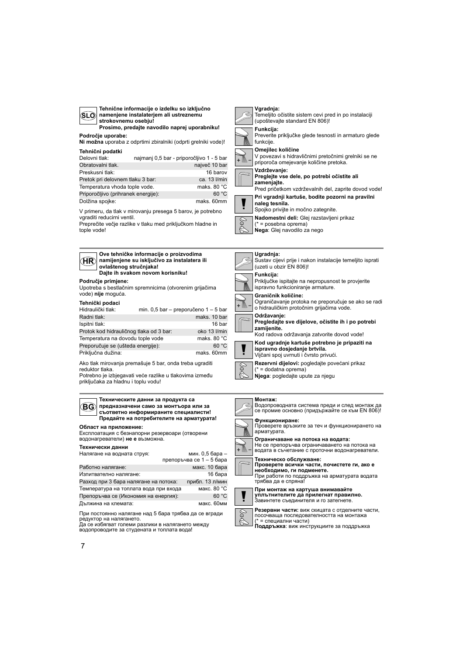| Tehnične informacije o izdelku so izključno<br>namenjene instalaterjem ali ustreznemu<br>(SLO)<br>strokovnemu osebju!<br>Prosimo, predajte navodilo naprej uporabniku!                                                                                                                                                                                                                                                                                                                                                       | Vgradnja:<br>Temeljito očistite sistem cevi pred in po instalaciji<br>(upoštevajte standard EN 806)!<br>Funkcija:                                                                                                                                                                                                                                                                                                                                                          |
|------------------------------------------------------------------------------------------------------------------------------------------------------------------------------------------------------------------------------------------------------------------------------------------------------------------------------------------------------------------------------------------------------------------------------------------------------------------------------------------------------------------------------|----------------------------------------------------------------------------------------------------------------------------------------------------------------------------------------------------------------------------------------------------------------------------------------------------------------------------------------------------------------------------------------------------------------------------------------------------------------------------|
| Področje uporabe:<br>Ni možna uporaba z odprtimi zbiralniki (odprti grelniki vode)!                                                                                                                                                                                                                                                                                                                                                                                                                                          | Preverite priključke glede tesnosti in armaturo glede<br>funkciie.                                                                                                                                                                                                                                                                                                                                                                                                         |
| Tehnični podatki<br>Delovni tlak:<br>najmanj 0,5 bar - priporočljivo 1 - 5 bar<br>največ 10 bar<br>Obratovalni tlak.<br>16 barov<br>Preskusni tlak:<br>Pretok pri delovnem tlaku 3 bar:<br>ca. 13 l/min<br>Temperatura vhoda tople vode.<br>maks. 80 $^{\circ}$ C<br>60 °C<br>Priporočljivo (prihranek energije):<br>Dolžina spojke:<br>maks. 60mm<br>V primeru, da tlak v mirovanju presega 5 barov, je potrebno<br>vgraditi reducirni ventil.<br>Preprečite večje razlike v tlaku med priključkom hladne in<br>tople vode! | Omejilec količine<br>V povezavi s hidravličnimi pretočnimi grelniki se ne<br>priporoča omejevanje količine pretoka.<br>Vzdrževanje:<br>Preglejte vse dele, po potrebi očistite ali<br>zamenjajte.<br>Pred pričetkom vzdrževalnih del, zaprite dovod vode!<br>Pri vgradnji kartuše, bodite pozorni na pravilni<br>naleg tesnila.<br>Spojko privijte in močno zategnite.<br>Nadomestni deli: Glej razstavljeni prikaz<br>(* = posebna oprema)<br>Nega: Glej navodilo za nego |
| Ove tehničke informacije o proizvodima<br>(HR<br>namijenjene su isključivo za instalatera ili<br>ovlaštenog stručniaka!<br>Dajte ih svakom novom korisniku!<br>Područje primjene:                                                                                                                                                                                                                                                                                                                                            | Ugradnia:<br>Sustav cijevi prije i nakon instalacije temeljito isprati<br>(uzeti u obzir EN 806)!<br>Funkcija:<br>Priključke ispitajte na nepropusnost te provjerite                                                                                                                                                                                                                                                                                                       |
| Upotreba s bestlačnim spremnicima (otvorenim grijačima<br>vode) nije moguća.                                                                                                                                                                                                                                                                                                                                                                                                                                                 | ispravno funkcioniranje armature.<br>Graničnik količine:                                                                                                                                                                                                                                                                                                                                                                                                                   |
| Tehnički podaci<br>Hidraulički tlak:<br>min. 0,5 bar - preporučeno $1 - 5$ bar                                                                                                                                                                                                                                                                                                                                                                                                                                               | Ograničavanje protoka ne preporučuje se ako se radi<br>o hidrauličkim protočnim grijačima vode.                                                                                                                                                                                                                                                                                                                                                                            |
| maks. 10 bar<br>Radni tlak:<br>16 bar<br>Ispitni tlak:<br>Protok kod hidrauličnog tlaka od 3 bar:<br>oko 13 I/min<br>Temperatura na dovodu tople vode<br>maks. 80 °C                                                                                                                                                                                                                                                                                                                                                         | Održavanje:<br>Pregledajte sve dijelove, očistite ih i po potrebi<br>zamijenite.<br>Kod radova održavanja zatvorite dovod vode!                                                                                                                                                                                                                                                                                                                                            |
| 60 °C<br>Preporučuje se (ušteda energije):<br>Priključna dužina:<br>maks. 60mm                                                                                                                                                                                                                                                                                                                                                                                                                                               | Kod ugradnje kartuše potrebno je pripaziti na<br>ispravno dosjedanje brtvila.<br>Vijčani spoj uvrnuti i čvrsto privući.                                                                                                                                                                                                                                                                                                                                                    |
| Ako tlak mirovanja premašuje 5 bar, onda treba ugraditi<br>reduktor tlaka.<br>Potrebno je izbjegavati veće razlike u tlakovima između<br>priključaka za hladnu i toplu vodu!                                                                                                                                                                                                                                                                                                                                                 | Rezervni dijelovi: pogledajte povećani prikaz<br>(* = dodatna oprema)<br>Njega: pogledajte upute za njegu                                                                                                                                                                                                                                                                                                                                                                  |
| Техническите данни за продукта са<br>предназначени само за монтъора или за<br>(BG)<br>съответно информираните специалисти!<br>Предайте на потребителите на арматурата!                                                                                                                                                                                                                                                                                                                                                       | Монтаж:<br>Водопроводната система преди и след монтаж да<br>се промие основно (придържайте се към EN 806)!                                                                                                                                                                                                                                                                                                                                                                 |
| Област на приложение:<br>Експлоатация с безнапорни резервоари (отворени<br>водонагреватели) не е възможна.                                                                                                                                                                                                                                                                                                                                                                                                                   | Функциониране:<br>Проверете връзките за теч и функционирането на<br>арматурата.<br>ограничаване на потока на водата:                                                                                                                                                                                                                                                                                                                                                       |
| Технически данни<br>Налягане на водната струя:<br>мин. 0,5 бара –                                                                                                                                                                                                                                                                                                                                                                                                                                                            | Не се препоръчва ограничаването на потока на<br>+ M<br>водата в съчетание с проточни водонагреватели.                                                                                                                                                                                                                                                                                                                                                                      |
| препоръчва се 1 – 5 бара<br>Работно налягане:<br>макс. 10 бара<br>Изпитвателно налягане:<br>16 бара<br>Разход при 3 бара налягане на потока:<br>прибл. 13 л/мин                                                                                                                                                                                                                                                                                                                                                              | Техническо обслужване:<br>Проверете всички части, почистете ги, ако е<br>необходимо, ги подменете.<br>При работи по поддръжка на арматурата водата<br>трябва да е спряна!                                                                                                                                                                                                                                                                                                  |
| макс. 80 °С<br>Температура на топлата вода при входа<br>60 °C<br>Препоръчва се (Икономия на енергия):<br>Дължина на клемата:<br>макс. 60мм                                                                                                                                                                                                                                                                                                                                                                                   | При монтаж на картуша внимавайте<br>уплътнителите да прилегнат правилно.<br>Завинтете съединителя и го затегнете.                                                                                                                                                                                                                                                                                                                                                          |

 $\boxed{\circledast}$ 

При постоянно налягане над 5 бара трябва да се вгради<br>редуктор на налягането.<br>Да се избягват големи разлики в налягането между<br>водопроводите за студената и топлата вода!

**Резервни части:** виж скицата с отделните части,<br>посочваща последователността на монтажа<br>(\* = специални части)<br>**Поддръжка:** виж инструкциите за поддръжка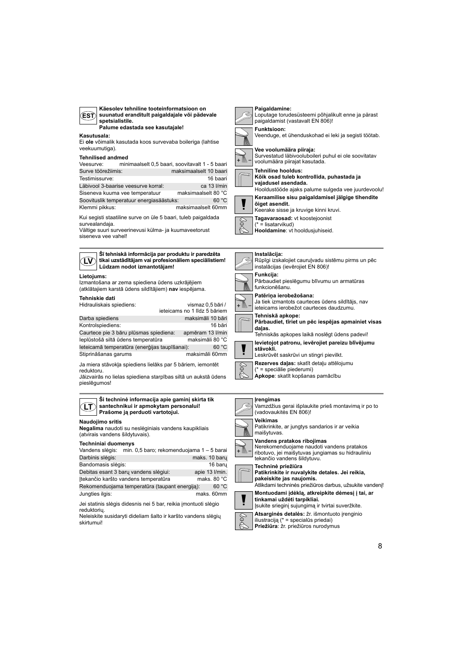| Käesolev tehniline tooteinformatsioon on<br>suunatud eranditult paigaldajale või pädevale<br><b>EST</b><br>spetsialistile.<br>Palume edastada see kasutajale! |  |
|---------------------------------------------------------------------------------------------------------------------------------------------------------------|--|
| Kasutusala:<br>Ei ole võimalik kasutada koos survevaba boileriga (lahtise<br>veekuumutiga).                                                                   |  |
|                                                                                                                                                               |  |

## **Tehnilised andmed**

Veesurve: minimaalselt 0,5 baari, soovitavalt 1 - 5 baari Surve töörežiimis: maksimaalselt 10 baari Testimissurve: 16 baari Läbivool 3-baarise veesurve korral: ca 13 l/min<br>Siseneva kuuma vee temperatuur maksimaalselt 80 °C Siseneva kuuma vee temperatuur Soovituslik temperatuur energiasäästuks: 60 °C

Kui segisti staatiline surve on üle 5 baari, tuleb paigaldada Klemmi pikkus: maksimaalselt 60mm

survealandaja. Vältige suuri surveerinevusi külma- ja kuumaveetorust

siseneva vee vahel!

**LV Šī tehniskā informācija par produktu ir paredzēta tikai uzstādītājam vai profesionāliem speciālistiem! Lūdzam nodot izmantotājam!**

#### **Lietojums:**

Izmantošana ar zema spiediena ūdens uzkrājējiem (atklātajiem karstā ūdens sildītājiem) **nav** iespējama.

## **Tehniskie dati**

Hidrauliskais spiediens: vismaz 0,5 bāri / ieteicams no 1 līdz 5 bāriem Darba spiediens maksimāli 10 bāri Kontrolspiediens: 16 bāri Caurtece pie 3 bāru plūsmas spiediena: apmēram 13 l/min Ieplūstošā siltā ūdens temperatūra maksimāli 80 °C Ieteicamā temperatūra (enerģijas taupīšanai): 60 °C Stiprināšanas garums maksimāli 60mm

Ja miera stāvokļa spiediens lielāks par 5 bāriem, iemontēt reduktoru.

Jāizvairās no lielas spiediena starpības siltā un aukstā ūdens pieslēgumos!



| Darbinis slėgis:                               | maks. 10 baru  |
|------------------------------------------------|----------------|
| Bandomasis slėgis:                             | 16 baru        |
| Debitas esant 3 bary vandens slėgiui:          | apie 13 I/min. |
| Itekančio karšto vandens temperatūra           | maks. 80 °C    |
| Rekomenduojama temperatūra (taupant energija): | 60 °C          |
| Jungties ilgis:                                | maks. 60mm     |

Jei statinis slėgis didesnis nei 5 bar, reikia įmontuoti slėgio reduktorių.

Neleiskite susidaryti dideliam šalto ir karšto vandens slėgių skirtumui!

**Vee voolumäära piiraja:** Survestatud läbivooluboileri puhul ei ole soovitatav + M voolumäära piirajat kasutada. **Tehniline hooldus: Kõik osad tuleb kontrollida, puhastada ja vajadusel asendada.** Hooldustööde ajaks palume sulgeda vee juurdevoolu! **Keraamilise sisu paigaldamisel jälgige tihendite õiget asendit.** Keerake sisse ja kruvige kinni kruvi.

**Paigaldamine:**

**Funktsioon:**

paigaldamist (vastavalt EN 806)!

Loputage torudesüsteemi põhjalikult enne ja pärast

Veenduge, et ühenduskohad ei leki ja segisti töötab.



(\* = lisatarvikud)

**Hooldamine**: vt hooldusjuhiseid.

#### **Instalācija:** Rūpīgi izskalojiet cauruļvadu sistēmu pirms un pēc



ieteicams ierobežot caurteces daudzumu. **Tehniskā apkope:**

**Pārbaudiet, tīriet un pēc iespējas apmainiet visas daļas.** Tehniskās apkopes laikā noslēgt ūdens padevi!



**Ievietojot patronu, ievērojiet pareizu blīvējumu stāvokli.** Leskrūvēt saskrūvi un stingri pievilkt. **Rezerves daļas:** skatīt detaļu attēlojumu



## **Įrengimas**

Vamzdžius gerai išplaukite prieš montavimą ir po to (vadovaukitės EN 806)! **Veikimas** Patikrinkite, ar jungtys sandarios ir ar veikia maišytuvas. **Vandens pratakos ribojimas** Nerekomenduojame naudoti vandens pratakos + M∖ ribotuvo, jei maišytuvas jungiamas su hidrauliniu

# tekančio vandens šildytuvu.



Atlikdami techninės priežiūros darbus, užsukite vandenį! **Montuodami įdėklą, atkreipkite dėmesį į tai, ar tinkamai uždėti tarpikliai.** Įsukite srieginį sujungimą ir tvirtai suveržkite. **Atsarginės detalės:** žr. išmontuoto įrenginio



iliustraciją (\* = specialūs priedai) **Priežiūra**: žr. priežiūros nurodymus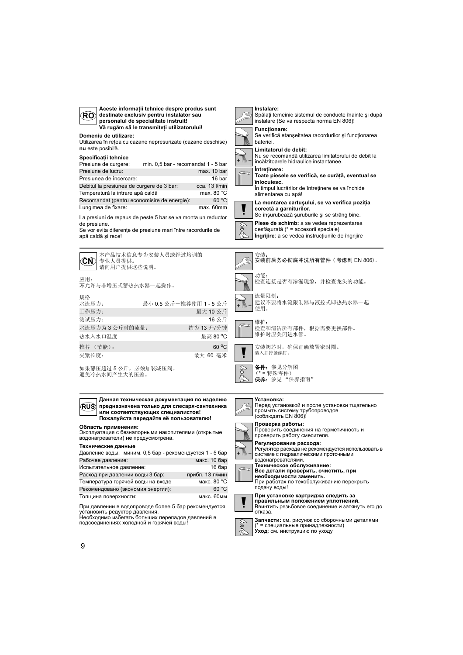



**Область применения:**

Эксплуатация с безнапорными накопителями (открытые водонагреватели) **не** предусмотрена.

#### **Технические данные**

| Давление воды: миним. 0,5 бар - рекомендуется 1 - 5 бар |                 |
|---------------------------------------------------------|-----------------|
| Рабочее давление:                                       | макс. 10 бар    |
| Испытательное давление:                                 | 16 бар          |
| Расход при давлении воды 3 бар:                         | прибл. 13 л/мин |
| Температура горячей воды на входе                       | макс. 80 °С     |
| Рекомендовано (экономия энергии):                       | 60 °C           |
| Толщина поверхности:                                    | макс. 60мм      |

При давлении в водопроводе более 5 бар рекомендуется

установить редуктор давления.<br>Необходимо избегать больших перепадов давлений в<br>подсоединениях холодной и горячей воды!



(\* = специальные принадлежности) **Уход**: см. инструкцию по уходу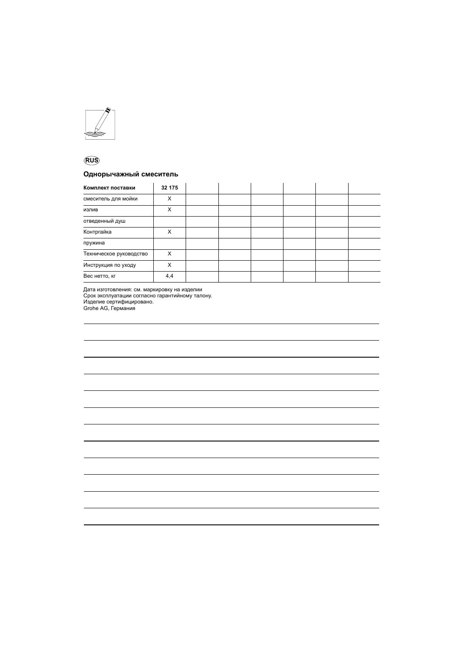

# **RUS**

# **Однорычажный смеситель**

| Комплект поставки       | 32 175 |  |  |  |
|-------------------------|--------|--|--|--|
| смеситель для мойки     | X      |  |  |  |
| излив                   | X      |  |  |  |
| отведенный душ          |        |  |  |  |
| Контргайка              | X      |  |  |  |
| пружина                 |        |  |  |  |
| Техническое руководство | X      |  |  |  |
| Инструкция по уходу     | X      |  |  |  |
| Вес нетто, кг           | 4,4    |  |  |  |

Дата изготовления: см. маркировку на изделии Срок эксплуатации согласно гарантийному талону. Изделие сертифицировано. Grohe AG, Германия